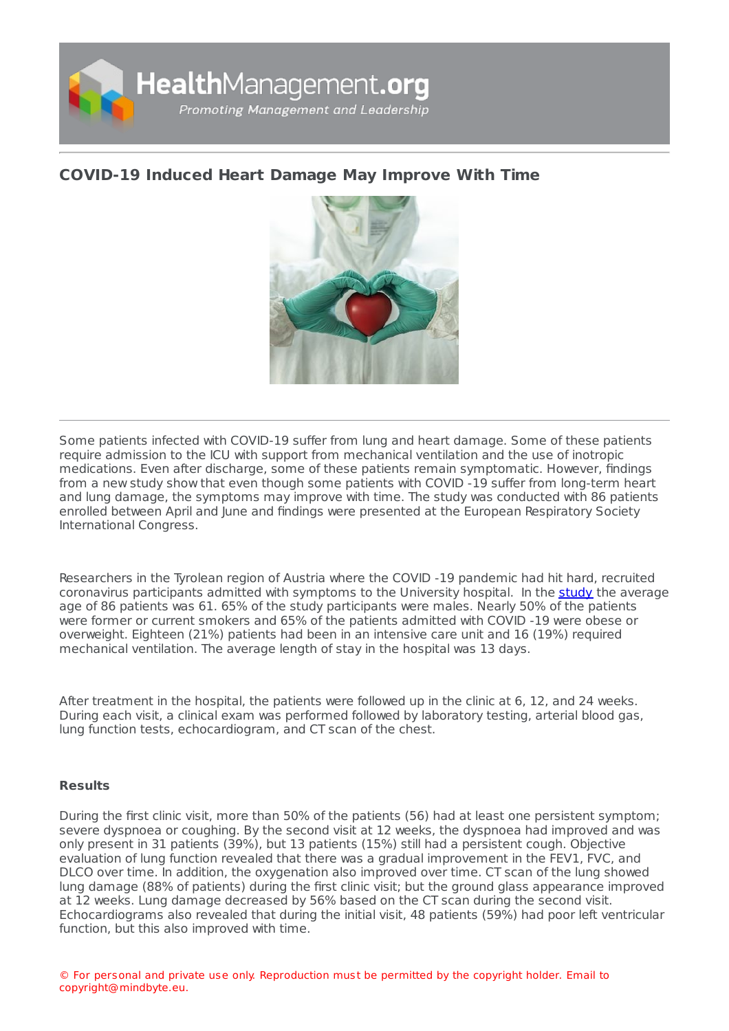

## **[COVID-19](https://healthmanagement.org/s/covid-19-induced-heart-damage-may-improve-with-time) Induced Heart Damage May Improve With Time**



Some patients infected with COVID-19 suffer from lung and heart damage. Some of these patients require admission to the ICU with support from mechanical ventilation and the use of inotropic medications. Even after discharge, some of these patients remain symptomatic. However, findings from a new study show that even though some patients with COVID -19 suffer from long-term heart and lung damage, the symptoms may improve with time. The study was conducted with 86 patients enrolled between April and June and findings were presented at the European Respiratory Society International Congress.

Researchers in the Tyrolean region of Austria where the COVID -19 pandemic had hit hard, recruited coronavirus participants admitted with symptoms to the University hospital. In the [study](https://www.ersnet.org/the-society/news/covid-19-patients-suffer-long-term-lung-and-heart-damage-but-it-can-improve-with-time) the average age of 86 patients was 61. 65% of the study participants were males. Nearly 50% of the patients were former or current smokers and 65% of the patients admitted with COVID -19 were obese or overweight. Eighteen (21%) patients had been in an intensive care unit and 16 (19%) required mechanical ventilation. The average length of stay in the hospital was 13 days.

After treatment in the hospital, the patients were followed up in the clinic at 6, 12, and 24 weeks. During each visit, a clinical exam was performed followed by laboratory testing, arterial blood gas, lung function tests, echocardiogram, and CT scan of the chest.

## **Results**

During the first clinic visit, more than 50% of the patients (56) had at least one persistent symptom; severe dyspnoea or coughing. By the second visit at 12 weeks, the dyspnoea had improved and was only present in 31 patients (39%), but 13 patients (15%) still had a persistent cough. Objective evaluation of lung function revealed that there was a gradual improvement in the FEV1, FVC, and DLCO over time. In addition, the oxygenation also improved over time. CT scan of the lung showed lung damage (88% of patients) during the first clinic visit; but the ground glass appearance improved at 12 weeks. Lung damage decreased by 56% based on the CT scan during the second visit. Echocardiograms also revealed that during the initial visit, 48 patients (59%) had poor left ventricular function, but this also improved with time.

© For personal and private use only. Reproduction must be permitted by the copyright holder. Email to copyright@mindbyte.eu.